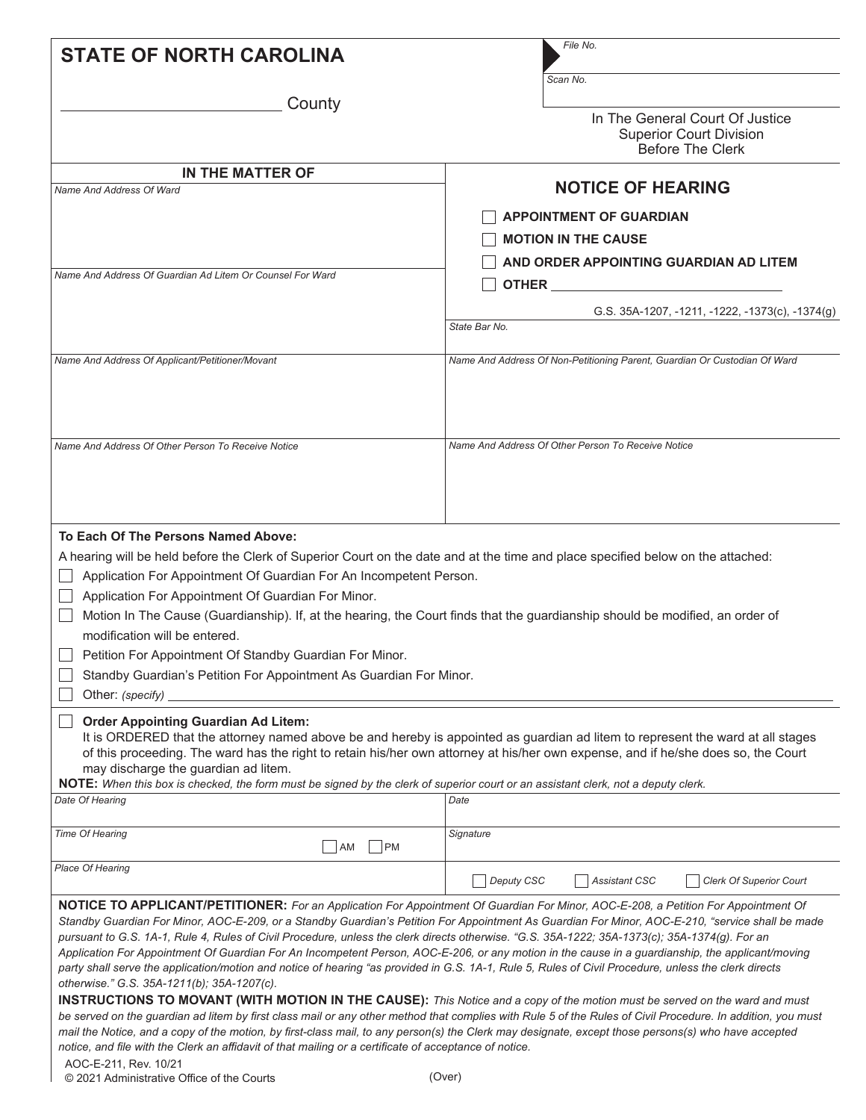| <b>STATE OF NORTH CAROLINA</b>                                                                                                                                                                                                                                                                                                                                                                                                                                                                                                                                                                                                                                                                                                                                                                                                                                                                                                                                                                                                                                                                                                                                                                                                                                                                                                                                                                   | File No.                                                                                     |
|--------------------------------------------------------------------------------------------------------------------------------------------------------------------------------------------------------------------------------------------------------------------------------------------------------------------------------------------------------------------------------------------------------------------------------------------------------------------------------------------------------------------------------------------------------------------------------------------------------------------------------------------------------------------------------------------------------------------------------------------------------------------------------------------------------------------------------------------------------------------------------------------------------------------------------------------------------------------------------------------------------------------------------------------------------------------------------------------------------------------------------------------------------------------------------------------------------------------------------------------------------------------------------------------------------------------------------------------------------------------------------------------------|----------------------------------------------------------------------------------------------|
|                                                                                                                                                                                                                                                                                                                                                                                                                                                                                                                                                                                                                                                                                                                                                                                                                                                                                                                                                                                                                                                                                                                                                                                                                                                                                                                                                                                                  | Scan No.                                                                                     |
| County                                                                                                                                                                                                                                                                                                                                                                                                                                                                                                                                                                                                                                                                                                                                                                                                                                                                                                                                                                                                                                                                                                                                                                                                                                                                                                                                                                                           | In The General Court Of Justice<br><b>Superior Court Division</b><br><b>Before The Clerk</b> |
| IN THE MATTER OF                                                                                                                                                                                                                                                                                                                                                                                                                                                                                                                                                                                                                                                                                                                                                                                                                                                                                                                                                                                                                                                                                                                                                                                                                                                                                                                                                                                 |                                                                                              |
| Name And Address Of Ward                                                                                                                                                                                                                                                                                                                                                                                                                                                                                                                                                                                                                                                                                                                                                                                                                                                                                                                                                                                                                                                                                                                                                                                                                                                                                                                                                                         | <b>NOTICE OF HEARING</b>                                                                     |
|                                                                                                                                                                                                                                                                                                                                                                                                                                                                                                                                                                                                                                                                                                                                                                                                                                                                                                                                                                                                                                                                                                                                                                                                                                                                                                                                                                                                  | <b>APPOINTMENT OF GUARDIAN</b>                                                               |
|                                                                                                                                                                                                                                                                                                                                                                                                                                                                                                                                                                                                                                                                                                                                                                                                                                                                                                                                                                                                                                                                                                                                                                                                                                                                                                                                                                                                  | <b>MOTION IN THE CAUSE</b>                                                                   |
|                                                                                                                                                                                                                                                                                                                                                                                                                                                                                                                                                                                                                                                                                                                                                                                                                                                                                                                                                                                                                                                                                                                                                                                                                                                                                                                                                                                                  | AND ORDER APPOINTING GUARDIAN AD LITEM                                                       |
| Name And Address Of Guardian Ad Litem Or Counsel For Ward                                                                                                                                                                                                                                                                                                                                                                                                                                                                                                                                                                                                                                                                                                                                                                                                                                                                                                                                                                                                                                                                                                                                                                                                                                                                                                                                        |                                                                                              |
|                                                                                                                                                                                                                                                                                                                                                                                                                                                                                                                                                                                                                                                                                                                                                                                                                                                                                                                                                                                                                                                                                                                                                                                                                                                                                                                                                                                                  |                                                                                              |
|                                                                                                                                                                                                                                                                                                                                                                                                                                                                                                                                                                                                                                                                                                                                                                                                                                                                                                                                                                                                                                                                                                                                                                                                                                                                                                                                                                                                  | G.S. 35A-1207, -1211, -1222, -1373(c), -1374(g)                                              |
|                                                                                                                                                                                                                                                                                                                                                                                                                                                                                                                                                                                                                                                                                                                                                                                                                                                                                                                                                                                                                                                                                                                                                                                                                                                                                                                                                                                                  | State Bar No.                                                                                |
| Name And Address Of Applicant/Petitioner/Movant                                                                                                                                                                                                                                                                                                                                                                                                                                                                                                                                                                                                                                                                                                                                                                                                                                                                                                                                                                                                                                                                                                                                                                                                                                                                                                                                                  | Name And Address Of Non-Petitioning Parent, Guardian Or Custodian Of Ward                    |
| Name And Address Of Other Person To Receive Notice                                                                                                                                                                                                                                                                                                                                                                                                                                                                                                                                                                                                                                                                                                                                                                                                                                                                                                                                                                                                                                                                                                                                                                                                                                                                                                                                               | Name And Address Of Other Person To Receive Notice                                           |
| A hearing will be held before the Clerk of Superior Court on the date and at the time and place specified below on the attached:<br>Application For Appointment Of Guardian For An Incompetent Person.<br>Application For Appointment Of Guardian For Minor.<br>Motion In The Cause (Guardianship). If, at the hearing, the Court finds that the guardianship should be modified, an order of<br>modification will be entered.<br>Petition For Appointment Of Standby Guardian For Minor.<br>Standby Guardian's Petition For Appointment As Guardian For Minor.<br>Other: (specify)                                                                                                                                                                                                                                                                                                                                                                                                                                                                                                                                                                                                                                                                                                                                                                                                              |                                                                                              |
| <b>Order Appointing Guardian Ad Litem:</b><br>It is ORDERED that the attorney named above be and hereby is appointed as guardian ad litem to represent the ward at all stages<br>of this proceeding. The ward has the right to retain his/her own attorney at his/her own expense, and if he/she does so, the Court<br>may discharge the guardian ad litem.<br>NOTE: When this box is checked, the form must be signed by the clerk of superior court or an assistant clerk, not a deputy clerk.                                                                                                                                                                                                                                                                                                                                                                                                                                                                                                                                                                                                                                                                                                                                                                                                                                                                                                 |                                                                                              |
| Date Of Hearing                                                                                                                                                                                                                                                                                                                                                                                                                                                                                                                                                                                                                                                                                                                                                                                                                                                                                                                                                                                                                                                                                                                                                                                                                                                                                                                                                                                  | Date                                                                                         |
| Time Of Hearing<br><b>PM</b><br>  AM                                                                                                                                                                                                                                                                                                                                                                                                                                                                                                                                                                                                                                                                                                                                                                                                                                                                                                                                                                                                                                                                                                                                                                                                                                                                                                                                                             | Signature                                                                                    |
| <b>Place Of Hearing</b>                                                                                                                                                                                                                                                                                                                                                                                                                                                                                                                                                                                                                                                                                                                                                                                                                                                                                                                                                                                                                                                                                                                                                                                                                                                                                                                                                                          | Deputy CSC<br><b>Assistant CSC</b><br><b>Clerk Of Superior Court</b>                         |
| NOTICE TO APPLICANT/PETITIONER: For an Application For Appointment Of Guardian For Minor, AOC-E-208, a Petition For Appointment Of<br>Standby Guardian For Minor, AOC-E-209, or a Standby Guardian's Petition For Appointment As Guardian For Minor, AOC-E-210, "service shall be made<br>pursuant to G.S. 1A-1, Rule 4, Rules of Civil Procedure, unless the clerk directs otherwise. "G.S. 35A-1222; 35A-1373(c); 35A-1374(g). For an<br>Application For Appointment Of Guardian For An Incompetent Person, AOC-E-206, or any motion in the cause in a guardianship, the applicant/moving<br>party shall serve the application/motion and notice of hearing "as provided in G.S. 1A-1, Rule 5, Rules of Civil Procedure, unless the clerk directs<br>otherwise." G.S. 35A-1211(b); 35A-1207(c).<br><b>INSTRUCTIONS TO MOVANT (WITH MOTION IN THE CAUSE):</b> This Notice and a copy of the motion must be served on the ward and must<br>be served on the guardian ad litem by first class mail or any other method that complies with Rule 5 of the Rules of Civil Procedure. In addition, you must<br>mail the Notice, and a copy of the motion, by first-class mail, to any person(s) the Clerk may designate, except those persons(s) who have accepted<br>notice, and file with the Clerk an affidavit of that mailing or a certificate of acceptance of notice.<br>AOC-E-211, Rev. 10/21 |                                                                                              |

© 2021 Administrative Office of the Courts